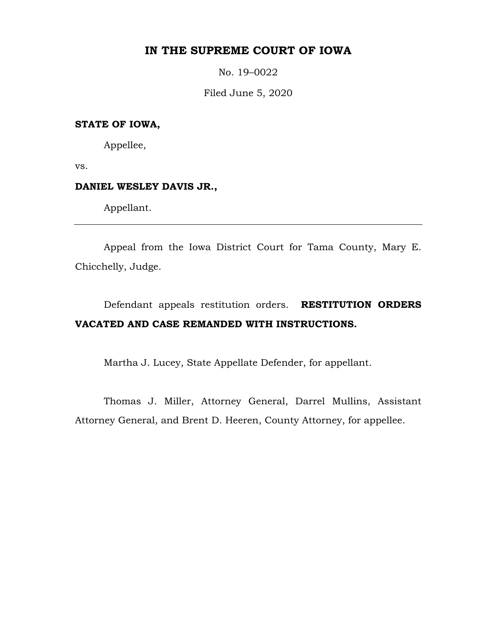## **IN THE SUPREME COURT OF IOWA**

No. 19–0022

Filed June 5, 2020

#### **STATE OF IOWA,**

Appellee,

vs.

#### **DANIEL WESLEY DAVIS JR.,**

Appellant.

Appeal from the Iowa District Court for Tama County, Mary E. Chicchelly, Judge.

# Defendant appeals restitution orders. **RESTITUTION ORDERS VACATED AND CASE REMANDED WITH INSTRUCTIONS.**

Martha J. Lucey, State Appellate Defender, for appellant.

Thomas J. Miller, Attorney General, Darrel Mullins, Assistant Attorney General, and Brent D. Heeren, County Attorney, for appellee.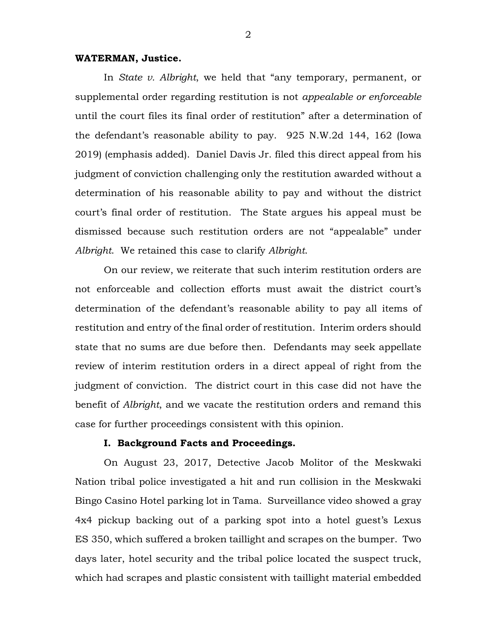#### **WATERMAN, Justice.**

In *State v. Albright*, we held that "any temporary, permanent, or supplemental order regarding restitution is not *appealable or enforceable* until the court files its final order of restitution" after a determination of the defendant's reasonable ability to pay. 925 N.W.2d 144, 162 (Iowa 2019) (emphasis added). Daniel Davis Jr. filed this direct appeal from his judgment of conviction challenging only the restitution awarded without a determination of his reasonable ability to pay and without the district court's final order of restitution. The State argues his appeal must be dismissed because such restitution orders are not "appealable" under *Albright*. We retained this case to clarify *Albright*.

On our review, we reiterate that such interim restitution orders are not enforceable and collection efforts must await the district court's determination of the defendant's reasonable ability to pay all items of restitution and entry of the final order of restitution. Interim orders should state that no sums are due before then. Defendants may seek appellate review of interim restitution orders in a direct appeal of right from the judgment of conviction. The district court in this case did not have the benefit of *Albright*, and we vacate the restitution orders and remand this case for further proceedings consistent with this opinion.

#### **I. Background Facts and Proceedings.**

On August 23, 2017, Detective Jacob Molitor of the Meskwaki Nation tribal police investigated a hit and run collision in the Meskwaki Bingo Casino Hotel parking lot in Tama. Surveillance video showed a gray 4x4 pickup backing out of a parking spot into a hotel guest's Lexus ES 350, which suffered a broken taillight and scrapes on the bumper. Two days later, hotel security and the tribal police located the suspect truck, which had scrapes and plastic consistent with taillight material embedded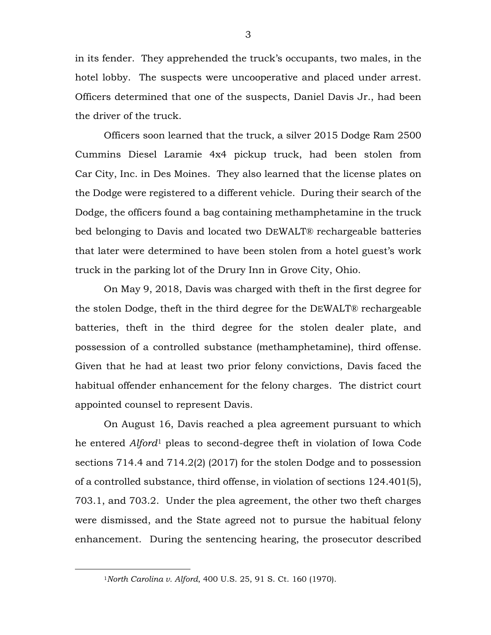in its fender. They apprehended the truck's occupants, two males, in the hotel lobby. The suspects were uncooperative and placed under arrest. Officers determined that one of the suspects, Daniel Davis Jr., had been the driver of the truck.

Officers soon learned that the truck, a silver 2015 Dodge Ram 2500 Cummins Diesel Laramie 4x4 pickup truck, had been stolen from Car City, Inc. in Des Moines. They also learned that the license plates on the Dodge were registered to a different vehicle. During their search of the Dodge, the officers found a bag containing methamphetamine in the truck bed belonging to Davis and located two DEWALT® rechargeable batteries that later were determined to have been stolen from a hotel guest's work truck in the parking lot of the Drury Inn in Grove City, Ohio.

On May 9, 2018, Davis was charged with theft in the first degree for the stolen Dodge, theft in the third degree for the DEWALT® rechargeable batteries, theft in the third degree for the stolen dealer plate, and possession of a controlled substance (methamphetamine), third offense. Given that he had at least two prior felony convictions, Davis faced the habitual offender enhancement for the felony charges. The district court appointed counsel to represent Davis.

On August 16, Davis reached a plea agreement pursuant to which he entered *Alford*[1](#page-2-0) pleas to second-degree theft in violation of Iowa Code sections 714.4 and 714.2(2) (2017) for the stolen Dodge and to possession of a controlled substance, third offense, in violation of sections 124.401(5), 703.1, and 703.2. Under the plea agreement, the other two theft charges were dismissed, and the State agreed not to pursue the habitual felony enhancement. During the sentencing hearing, the prosecutor described

<span id="page-2-0"></span> <sup>1</sup>*North Carolina v. Alford*, 400 U.S. 25, 91 S. Ct. 160 (1970).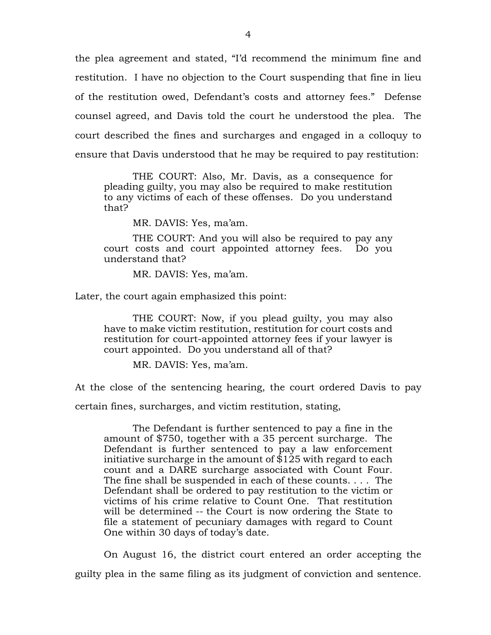the plea agreement and stated, "I'd recommend the minimum fine and restitution. I have no objection to the Court suspending that fine in lieu of the restitution owed, Defendant's costs and attorney fees." Defense counsel agreed, and Davis told the court he understood the plea. The court described the fines and surcharges and engaged in a colloquy to ensure that Davis understood that he may be required to pay restitution:

THE COURT: Also, Mr. Davis, as a consequence for pleading guilty, you may also be required to make restitution to any victims of each of these offenses. Do you understand that?

MR. DAVIS: Yes, ma'am.

THE COURT: And you will also be required to pay any court costs and court appointed attorney fees. Do you understand that?

MR. DAVIS: Yes, ma'am.

Later, the court again emphasized this point:

THE COURT: Now, if you plead guilty, you may also have to make victim restitution, restitution for court costs and restitution for court-appointed attorney fees if your lawyer is court appointed. Do you understand all of that?

MR. DAVIS: Yes, ma'am.

At the close of the sentencing hearing, the court ordered Davis to pay

certain fines, surcharges, and victim restitution, stating,

The Defendant is further sentenced to pay a fine in the amount of \$750, together with a 35 percent surcharge. The Defendant is further sentenced to pay a law enforcement initiative surcharge in the amount of  $$125$  with regard to each count and a DARE surcharge associated with Count Four. The fine shall be suspended in each of these counts. . . . The Defendant shall be ordered to pay restitution to the victim or victims of his crime relative to Count One. That restitution will be determined -- the Court is now ordering the State to file a statement of pecuniary damages with regard to Count One within 30 days of today's date.

On August 16, the district court entered an order accepting the guilty plea in the same filing as its judgment of conviction and sentence.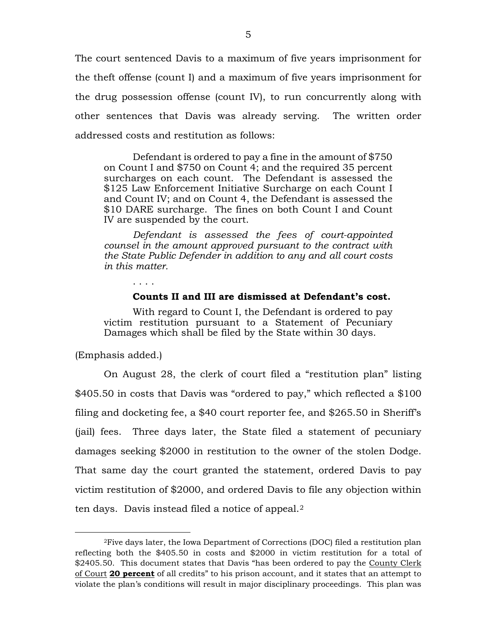The court sentenced Davis to a maximum of five years imprisonment for the theft offense (count I) and a maximum of five years imprisonment for the drug possession offense (count IV), to run concurrently along with other sentences that Davis was already serving. The written order addressed costs and restitution as follows:

Defendant is ordered to pay a fine in the amount of \$750 on Count I and \$750 on Count 4; and the required 35 percent surcharges on each count. The Defendant is assessed the \$125 Law Enforcement Initiative Surcharge on each Count I and Count IV; and on Count 4, the Defendant is assessed the \$10 DARE surcharge. The fines on both Count I and Count IV are suspended by the court.

*Defendant is assessed the fees of court-appointed counsel in the amount approved pursuant to the contract with the State Public Defender in addition to any and all court costs in this matter.*

**Counts II and III are dismissed at Defendant's cost.** 

With regard to Count I, the Defendant is ordered to pay victim restitution pursuant to a Statement of Pecuniary Damages which shall be filed by the State within 30 days.

(Emphasis added.)

On August 28, the clerk of court filed a "restitution plan" listing \$405.50 in costs that Davis was "ordered to pay," which reflected a \$100 filing and docketing fee, a \$40 court reporter fee, and \$265.50 in Sheriff's (jail) fees. Three days later, the State filed a statement of pecuniary damages seeking \$2000 in restitution to the owner of the stolen Dodge. That same day the court granted the statement, ordered Davis to pay victim restitution of \$2000, and ordered Davis to file any objection within ten days. Davis instead filed a notice of appeal.[2](#page-4-0) 

<span id="page-4-0"></span> <sup>2</sup>Five days later, the Iowa Department of Corrections (DOC) filed a restitution plan reflecting both the \$405.50 in costs and \$2000 in victim restitution for a total of \$2405.50. This document states that Davis "has been ordered to pay the County Clerk of Court **20 percent** of all credits" to his prison account, and it states that an attempt to violate the plan's conditions will result in major disciplinary proceedings. This plan was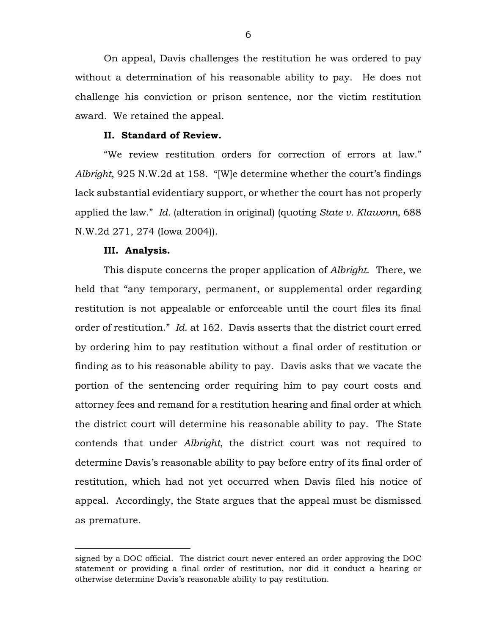On appeal, Davis challenges the restitution he was ordered to pay without a determination of his reasonable ability to pay. He does not challenge his conviction or prison sentence, nor the victim restitution award. We retained the appeal.

#### **II. Standard of Review.**

"We review restitution orders for correction of errors at law." *Albright*, 925 N.W.2d at 158. "[W]e determine whether the court's findings lack substantial evidentiary support, or whether the court has not properly applied the law." *Id.* (alteration in original) (quoting *State v. Klawonn*, 688 N.W.2d 271, 274 (Iowa 2004)).

#### **III. Analysis.**

 $\overline{a}$ 

This dispute concerns the proper application of *Albright*. There, we held that "any temporary, permanent, or supplemental order regarding restitution is not appealable or enforceable until the court files its final order of restitution." *Id.* at 162. Davis asserts that the district court erred by ordering him to pay restitution without a final order of restitution or finding as to his reasonable ability to pay. Davis asks that we vacate the portion of the sentencing order requiring him to pay court costs and attorney fees and remand for a restitution hearing and final order at which the district court will determine his reasonable ability to pay. The State contends that under *Albright*, the district court was not required to determine Davis's reasonable ability to pay before entry of its final order of restitution, which had not yet occurred when Davis filed his notice of appeal. Accordingly, the State argues that the appeal must be dismissed as premature.

signed by a DOC official. The district court never entered an order approving the DOC statement or providing a final order of restitution, nor did it conduct a hearing or otherwise determine Davis's reasonable ability to pay restitution.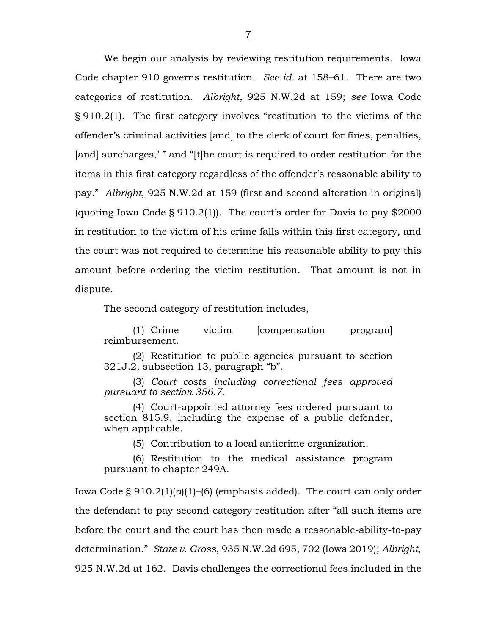We begin our analysis by reviewing restitution requirements. Iowa Code chapter 910 governs restitution. *See id.* at 158–61. There are two categories of restitution. *Albright*, 925 N.W.2d at 159; *see* Iowa Code § 910.2(1). The first category involves "restitution 'to the victims of the offender's criminal activities [and] to the clerk of court for fines, penalties, [and] surcharges,'" and "[t]he court is required to order restitution for the items in this first category regardless of the offender's reasonable ability to pay." *Albright*, 925 N.W.2d at 159 (first and second alteration in original) (quoting Iowa Code  $\S 910.2(1)$ ). The court's order for Davis to pay \$2000 in restitution to the victim of his crime falls within this first category, and the court was not required to determine his reasonable ability to pay this amount before ordering the victim restitution. That amount is not in dispute.

The second category of restitution includes,

(1) Crime victim [compensation program] reimbursement.

(2) Restitution to public agencies pursuant to section 321J.2, subsection 13, paragraph "b".

(3) *Court costs including correctional fees approved pursuant to section 356.7.*

(4) Court-appointed attorney fees ordered pursuant to section 815.9, including the expense of a public defender, when applicable.

(5) Contribution to a local anticrime organization.

(6) Restitution to the medical assistance program pursuant to chapter 249A.

Iowa Code § 910.2(1)(*a*)(1)–(6) (emphasis added). The court can only order the defendant to pay second-category restitution after "all such items are before the court and the court has then made a reasonable-ability-to-pay determination." *State v. Gross*, 935 N.W.2d 695, 702 (Iowa 2019); *Albright*, 925 N.W.2d at 162. Davis challenges the correctional fees included in the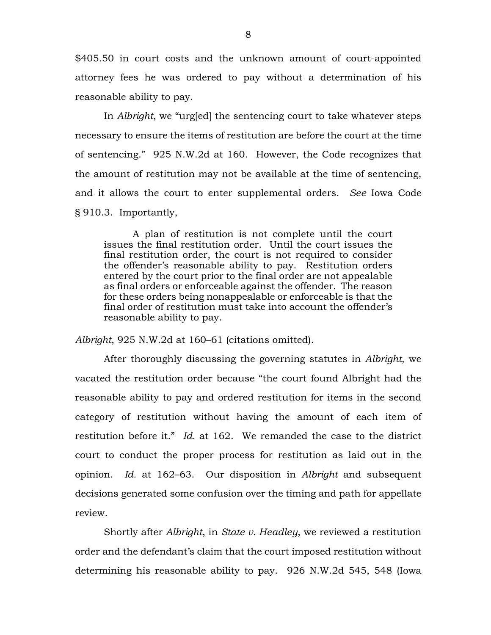\$405.50 in court costs and the unknown amount of court-appointed attorney fees he was ordered to pay without a determination of his reasonable ability to pay.

In *Albright*, we "urg[ed] the sentencing court to take whatever steps necessary to ensure the items of restitution are before the court at the time of sentencing." 925 N.W.2d at 160. However, the Code recognizes that the amount of restitution may not be available at the time of sentencing, and it allows the court to enter supplemental orders. *See* Iowa Code § 910.3. Importantly,

A plan of restitution is not complete until the court issues the final restitution order. Until the court issues the final restitution order, the court is not required to consider the offender's reasonable ability to pay. Restitution orders entered by the court prior to the final order are not appealable as final orders or enforceable against the offender. The reason for these orders being nonappealable or enforceable is that the final order of restitution must take into account the offender's reasonable ability to pay.

*Albright*, 925 N.W.2d at 160–61 (citations omitted).

After thoroughly discussing the governing statutes in *Albright*, we vacated the restitution order because "the court found Albright had the reasonable ability to pay and ordered restitution for items in the second category of restitution without having the amount of each item of restitution before it." *Id.* at 162. We remanded the case to the district court to conduct the proper process for restitution as laid out in the opinion. *Id.* at 162–63. Our disposition in *Albright* and subsequent decisions generated some confusion over the timing and path for appellate review.

Shortly after *Albright*, in *State v. Headley*, we reviewed a restitution order and the defendant's claim that the court imposed restitution without determining his reasonable ability to pay. 926 N.W.2d 545, 548 (Iowa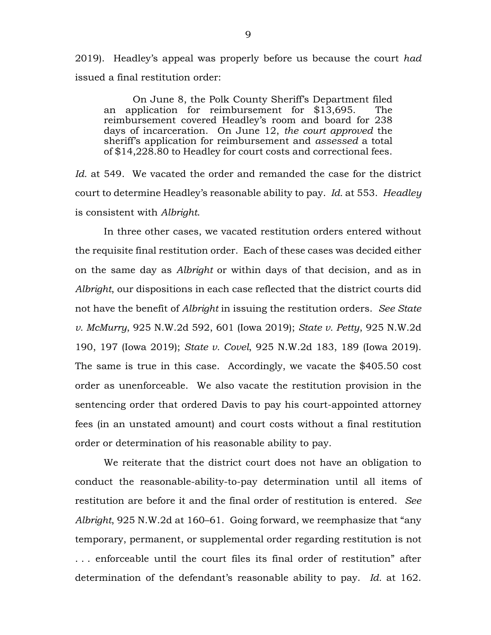2019). Headley's appeal was properly before us because the court *had* issued a final restitution order:

On June 8, the Polk County Sheriff's Department filed an application for reimbursement for \$13,695. The reimbursement covered Headley's room and board for 238 days of incarceration. On June 12, *the court approved* the sheriff's application for reimbursement and *assessed* a total of \$14,228.80 to Headley for court costs and correctional fees.

*Id.* at 549. We vacated the order and remanded the case for the district court to determine Headley's reasonable ability to pay. *Id.* at 553. *Headley* is consistent with *Albright*.

In three other cases, we vacated restitution orders entered without the requisite final restitution order. Each of these cases was decided either on the same day as *Albright* or within days of that decision, and as in *Albright*, our dispositions in each case reflected that the district courts did not have the benefit of *Albright* in issuing the restitution orders. *See State v. McMurry*, 925 N.W.2d 592, 601 (Iowa 2019); *State v. Petty*, 925 N.W.2d 190, 197 (Iowa 2019); *State v. Covel*, 925 N.W.2d 183, 189 (Iowa 2019). The same is true in this case. Accordingly, we vacate the \$405.50 cost order as unenforceable. We also vacate the restitution provision in the sentencing order that ordered Davis to pay his court-appointed attorney fees (in an unstated amount) and court costs without a final restitution order or determination of his reasonable ability to pay.

We reiterate that the district court does not have an obligation to conduct the reasonable-ability-to-pay determination until all items of restitution are before it and the final order of restitution is entered. *See Albright*, 925 N.W.2d at 160–61. Going forward, we reemphasize that "any temporary, permanent, or supplemental order regarding restitution is not . . . enforceable until the court files its final order of restitution" after determination of the defendant's reasonable ability to pay. *Id.* at 162.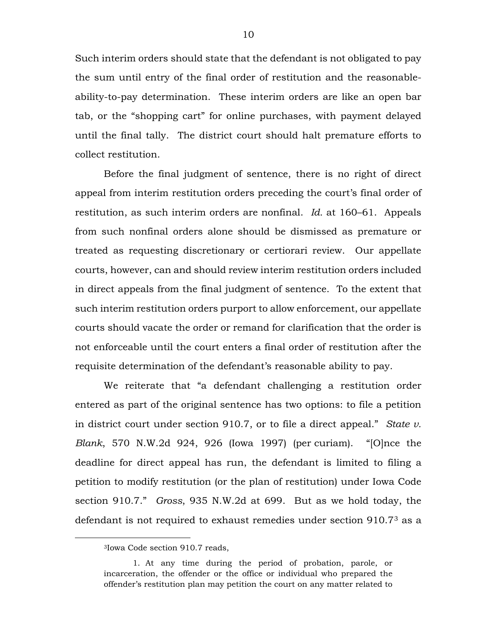Such interim orders should state that the defendant is not obligated to pay the sum until entry of the final order of restitution and the reasonableability-to-pay determination. These interim orders are like an open bar tab, or the "shopping cart" for online purchases, with payment delayed until the final tally. The district court should halt premature efforts to collect restitution.

Before the final judgment of sentence, there is no right of direct appeal from interim restitution orders preceding the court's final order of restitution, as such interim orders are nonfinal. *Id.* at 160–61. Appeals from such nonfinal orders alone should be dismissed as premature or treated as requesting discretionary or certiorari review. Our appellate courts, however, can and should review interim restitution orders included in direct appeals from the final judgment of sentence. To the extent that such interim restitution orders purport to allow enforcement, our appellate courts should vacate the order or remand for clarification that the order is not enforceable until the court enters a final order of restitution after the requisite determination of the defendant's reasonable ability to pay.

We reiterate that "a defendant challenging a restitution order entered as part of the original sentence has two options: to file a petition in district court under section 910.7, or to file a direct appeal." *State v. Blank*, 570 N.W.2d 924, 926 (Iowa 1997) (per curiam). "[O]nce the deadline for direct appeal has run, the defendant is limited to filing a petition to modify restitution (or the plan of restitution) under Iowa Code section 910.7." *Gross*, 935 N.W.2d at 699. But as we hold today, the defendant is not required to exhaust remedies under section 910.7[3](#page-9-0) as a

<span id="page-9-0"></span> <sup>3</sup>Iowa Code section 910.7 reads,

<sup>1.</sup> At any time during the period of probation, parole, or incarceration, the offender or the office or individual who prepared the offender's restitution plan may petition the court on any matter related to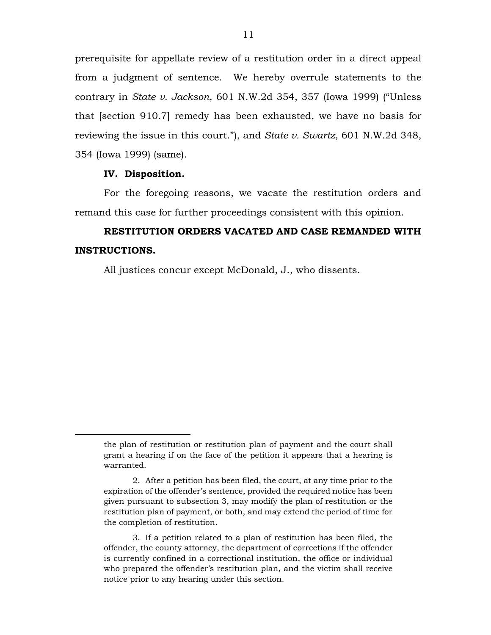prerequisite for appellate review of a restitution order in a direct appeal from a judgment of sentence. We hereby overrule statements to the contrary in *State v. Jackson*, 601 N.W.2d 354, 357 (Iowa 1999) ("Unless that [section 910.7] remedy has been exhausted, we have no basis for reviewing the issue in this court."), and *State v. Swartz*, 601 N.W.2d 348, 354 (Iowa 1999) (same).

#### **IV. Disposition.**

 $\overline{a}$ 

For the foregoing reasons, we vacate the restitution orders and remand this case for further proceedings consistent with this opinion.

# **RESTITUTION ORDERS VACATED AND CASE REMANDED WITH INSTRUCTIONS.**

All justices concur except McDonald, J., who dissents.

the plan of restitution or restitution plan of payment and the court shall grant a hearing if on the face of the petition it appears that a hearing is warranted.

<sup>2.</sup> After a petition has been filed, the court, at any time prior to the expiration of the offender's sentence, provided the required notice has been given pursuant to subsection 3, may modify the plan of restitution or the restitution plan of payment, or both, and may extend the period of time for the completion of restitution.

<sup>3.</sup> If a petition related to a plan of restitution has been filed, the offender, the county attorney, the department of corrections if the offender is currently confined in a correctional institution, the office or individual who prepared the offender's restitution plan, and the victim shall receive notice prior to any hearing under this section.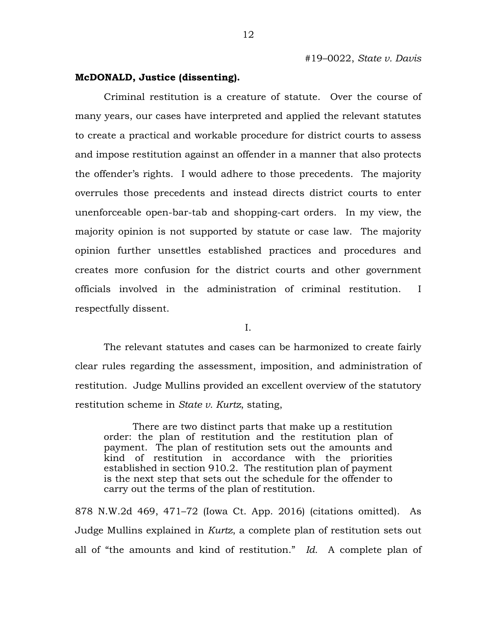#### **McDONALD, Justice (dissenting).**

Criminal restitution is a creature of statute. Over the course of many years, our cases have interpreted and applied the relevant statutes to create a practical and workable procedure for district courts to assess and impose restitution against an offender in a manner that also protects the offender's rights. I would adhere to those precedents. The majority overrules those precedents and instead directs district courts to enter unenforceable open-bar-tab and shopping-cart orders. In my view, the majority opinion is not supported by statute or case law. The majority opinion further unsettles established practices and procedures and creates more confusion for the district courts and other government officials involved in the administration of criminal restitution. I respectfully dissent.

I.

The relevant statutes and cases can be harmonized to create fairly clear rules regarding the assessment, imposition, and administration of restitution. Judge Mullins provided an excellent overview of the statutory restitution scheme in *State v. Kurtz*, stating,

There are two distinct parts that make up a restitution order: the plan of restitution and the restitution plan of payment. The plan of restitution sets out the amounts and kind of restitution in accordance with the priorities established in section 910.2. The restitution plan of payment is the next step that sets out the schedule for the offender to carry out the terms of the plan of restitution.

878 N.W.2d 469, 471–72 (Iowa Ct. App. 2016) (citations omitted). As Judge Mullins explained in *Kurtz*, a complete plan of restitution sets out all of "the amounts and kind of restitution." *Id.* A complete plan of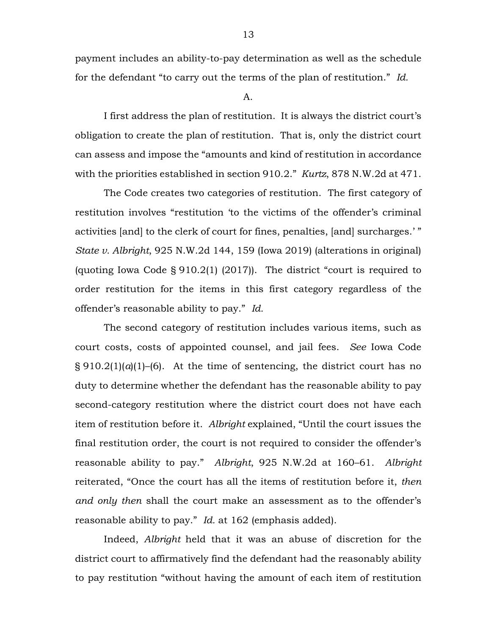payment includes an ability-to-pay determination as well as the schedule for the defendant "to carry out the terms of the plan of restitution." *Id.*

A.

I first address the plan of restitution. It is always the district court's obligation to create the plan of restitution. That is, only the district court can assess and impose the "amounts and kind of restitution in accordance with the priorities established in section 910.2." *Kurtz*, 878 N.W.2d at 471.

The Code creates two categories of restitution. The first category of restitution involves "restitution 'to the victims of the offender's criminal activities [and] to the clerk of court for fines, penalties, [and] surcharges.' " *State v. Albright*, 925 N.W.2d 144, 159 (Iowa 2019) (alterations in original) (quoting Iowa Code § 910.2(1) (2017)). The district "court is required to order restitution for the items in this first category regardless of the offender's reasonable ability to pay." *Id.*

The second category of restitution includes various items, such as court costs, costs of appointed counsel, and jail fees. *See* Iowa Code  $\S 910.2(1)(a)(1)$ –(6). At the time of sentencing, the district court has no duty to determine whether the defendant has the reasonable ability to pay second-category restitution where the district court does not have each item of restitution before it. *Albright* explained, "Until the court issues the final restitution order, the court is not required to consider the offender's reasonable ability to pay." *Albright*, 925 N.W.2d at 160–61. *Albright* reiterated, "Once the court has all the items of restitution before it, *then and only then* shall the court make an assessment as to the offender's reasonable ability to pay." *Id.* at 162 (emphasis added).

Indeed, *Albright* held that it was an abuse of discretion for the district court to affirmatively find the defendant had the reasonably ability to pay restitution "without having the amount of each item of restitution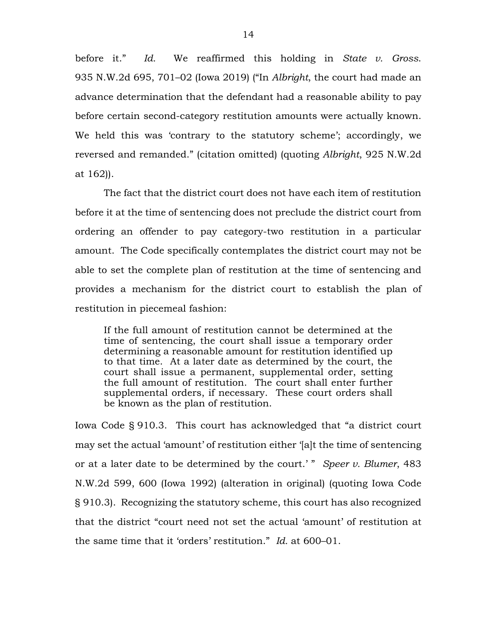before it." *Id.* We reaffirmed this holding in *State v. Gross*. 935 N.W.2d 695, 701–02 (Iowa 2019) ("In *Albright*, the court had made an advance determination that the defendant had a reasonable ability to pay before certain second-category restitution amounts were actually known. We held this was 'contrary to the statutory scheme'; accordingly, we reversed and remanded." (citation omitted) (quoting *Albright*, 925 N.W.2d at 162)).

The fact that the district court does not have each item of restitution before it at the time of sentencing does not preclude the district court from ordering an offender to pay category-two restitution in a particular amount. The Code specifically contemplates the district court may not be able to set the complete plan of restitution at the time of sentencing and provides a mechanism for the district court to establish the plan of restitution in piecemeal fashion:

If the full amount of restitution cannot be determined at the time of sentencing, the court shall issue a temporary order determining a reasonable amount for restitution identified up to that time. At a later date as determined by the court, the court shall issue a permanent, supplemental order, setting the full amount of restitution. The court shall enter further supplemental orders, if necessary. These court orders shall be known as the plan of restitution.

Iowa Code § 910.3. This court has acknowledged that "a district court may set the actual 'amount' of restitution either '[a]t the time of sentencing or at a later date to be determined by the court.' " *Speer v. Blumer*, 483 N.W.2d 599, 600 (Iowa 1992) (alteration in original) (quoting Iowa Code § 910.3). Recognizing the statutory scheme, this court has also recognized that the district "court need not set the actual 'amount' of restitution at the same time that it 'orders' restitution." *Id.* at 600–01.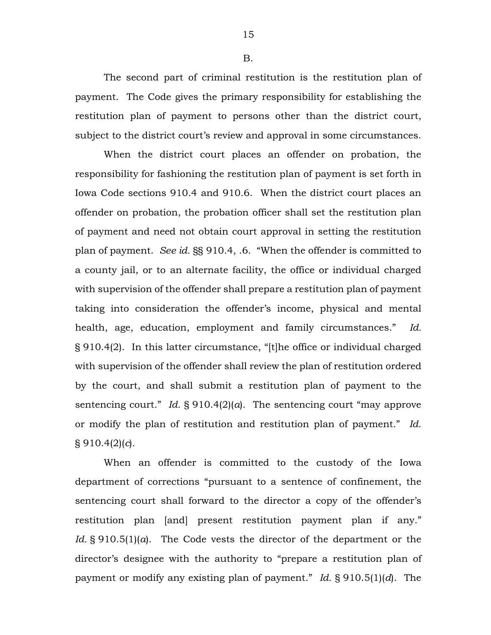B.

The second part of criminal restitution is the restitution plan of payment. The Code gives the primary responsibility for establishing the restitution plan of payment to persons other than the district court, subject to the district court's review and approval in some circumstances.

When the district court places an offender on probation, the responsibility for fashioning the restitution plan of payment is set forth in Iowa Code sections 910.4 and 910.6. When the district court places an offender on probation, the probation officer shall set the restitution plan of payment and need not obtain court approval in setting the restitution plan of payment. *See id.* §§ 910.4, .6. "When the offender is committed to a county jail, or to an alternate facility, the office or individual charged with supervision of the offender shall prepare a restitution plan of payment taking into consideration the offender's income, physical and mental health, age, education, employment and family circumstances." *Id.* § 910.4(2). In this latter circumstance, "[t]he office or individual charged with supervision of the offender shall review the plan of restitution ordered by the court, and shall submit a restitution plan of payment to the sentencing court." *Id.* § 910.4(2)(*a*). The sentencing court "may approve or modify the plan of restitution and restitution plan of payment." *Id.* § 910.4(2)(*c*).

When an offender is committed to the custody of the Iowa department of corrections "pursuant to a sentence of confinement, the sentencing court shall forward to the director a copy of the offender's restitution plan [and] present restitution payment plan if any." *Id.* § 910.5(1)(*a*). The Code vests the director of the department or the director's designee with the authority to "prepare a restitution plan of payment or modify any existing plan of payment." *Id.* § 910.5(1)(*d*). The

15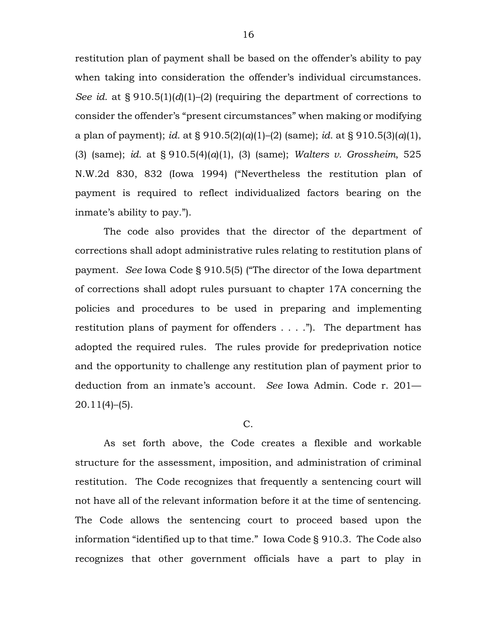restitution plan of payment shall be based on the offender's ability to pay when taking into consideration the offender's individual circumstances. *See id.* at § 910.5(1)(*d*)(1)–(2) (requiring the department of corrections to consider the offender's "present circumstances" when making or modifying a plan of payment); *id.* at § 910.5(2)(*a*)(1)–(2) (same); *id.* at § 910.5(3)(*a*)(1), (3) (same); *id.* at § 910.5(4)(*a*)(1), (3) (same); *Walters v. Grossheim*, 525 N.W.2d 830, 832 (Iowa 1994) ("Nevertheless the restitution plan of payment is required to reflect individualized factors bearing on the inmate's ability to pay.").

The code also provides that the director of the department of corrections shall adopt administrative rules relating to restitution plans of payment. *See* Iowa Code § 910.5(5) ("The director of the Iowa department of corrections shall adopt rules pursuant to chapter 17A concerning the policies and procedures to be used in preparing and implementing restitution plans of payment for offenders . . . ."). The department has adopted the required rules. The rules provide for predeprivation notice and the opportunity to challenge any restitution plan of payment prior to deduction from an inmate's account. *See* Iowa Admin. Code r. 201—  $20.11(4)$ –(5).

### C.

As set forth above, the Code creates a flexible and workable structure for the assessment, imposition, and administration of criminal restitution. The Code recognizes that frequently a sentencing court will not have all of the relevant information before it at the time of sentencing. The Code allows the sentencing court to proceed based upon the information "identified up to that time." Iowa Code § 910.3. The Code also recognizes that other government officials have a part to play in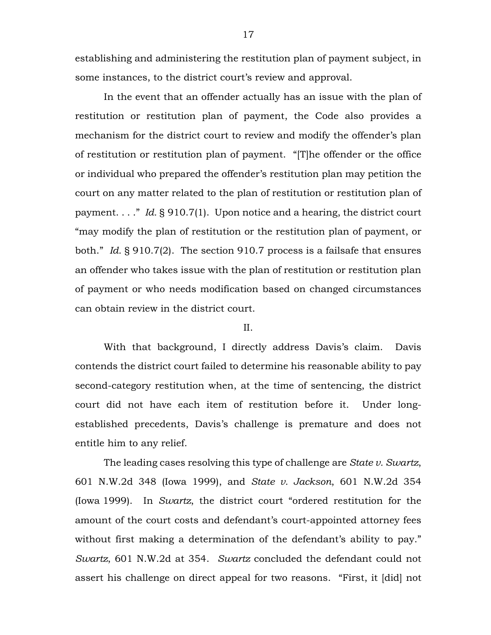establishing and administering the restitution plan of payment subject, in some instances, to the district court's review and approval.

In the event that an offender actually has an issue with the plan of restitution or restitution plan of payment, the Code also provides a mechanism for the district court to review and modify the offender's plan of restitution or restitution plan of payment. "[T]he offender or the office or individual who prepared the offender's restitution plan may petition the court on any matter related to the plan of restitution or restitution plan of payment. . . ." *Id.* § 910.7(1). Upon notice and a hearing, the district court "may modify the plan of restitution or the restitution plan of payment, or both." *Id.* § 910.7(2). The section 910.7 process is a failsafe that ensures an offender who takes issue with the plan of restitution or restitution plan of payment or who needs modification based on changed circumstances can obtain review in the district court.

#### II.

With that background, I directly address Davis's claim. Davis contends the district court failed to determine his reasonable ability to pay second-category restitution when, at the time of sentencing, the district court did not have each item of restitution before it. Under longestablished precedents, Davis's challenge is premature and does not entitle him to any relief.

The leading cases resolving this type of challenge are *State v. Swartz*, 601 N.W.2d 348 (Iowa 1999), and *State v. Jackson*, 601 N.W.2d 354 (Iowa 1999). In *Swartz*, the district court "ordered restitution for the amount of the court costs and defendant's court-appointed attorney fees without first making a determination of the defendant's ability to pay." *Swartz*, 601 N.W.2d at 354. *Swartz* concluded the defendant could not assert his challenge on direct appeal for two reasons. "First, it [did] not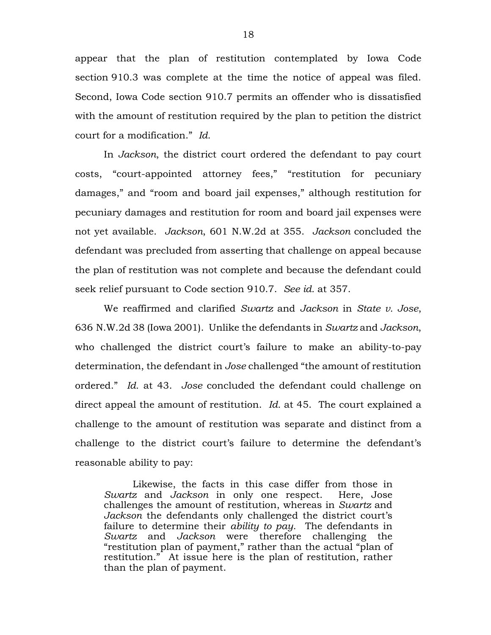appear that the plan of restitution contemplated by Iowa Code section 910.3 was complete at the time the notice of appeal was filed. Second, Iowa Code section 910.7 permits an offender who is dissatisfied with the amount of restitution required by the plan to petition the district court for a modification." *Id.*

In *Jackson*, the district court ordered the defendant to pay court costs, "court-appointed attorney fees," "restitution for pecuniary damages," and "room and board jail expenses," although restitution for pecuniary damages and restitution for room and board jail expenses were not yet available. *Jackson*, 601 N.W.2d at 355. *Jackson* concluded the defendant was precluded from asserting that challenge on appeal because the plan of restitution was not complete and because the defendant could seek relief pursuant to Code section 910.7. *See id.* at 357.

We reaffirmed and clarified *Swartz* and *Jackson* in *State v. Jose*, 636 N.W.2d 38 (Iowa 2001). Unlike the defendants in *Swartz* and *Jackson*, who challenged the district court's failure to make an ability-to-pay determination, the defendant in *Jose* challenged "the amount of restitution ordered." *Id.* at 43. *Jose* concluded the defendant could challenge on direct appeal the amount of restitution. *Id.* at 45. The court explained a challenge to the amount of restitution was separate and distinct from a challenge to the district court's failure to determine the defendant's reasonable ability to pay:

Likewise, the facts in this case differ from those in *Swartz* and *Jackson* in only one respect. Here, Jose challenges the amount of restitution, whereas in *Swartz* and *Jackson* the defendants only challenged the district court's failure to determine their *ability to pay*. The defendants in *Swartz* and *Jackson* were therefore challenging the "restitution plan of payment," rather than the actual "plan of restitution." At issue here is the plan of restitution, rather than the plan of payment.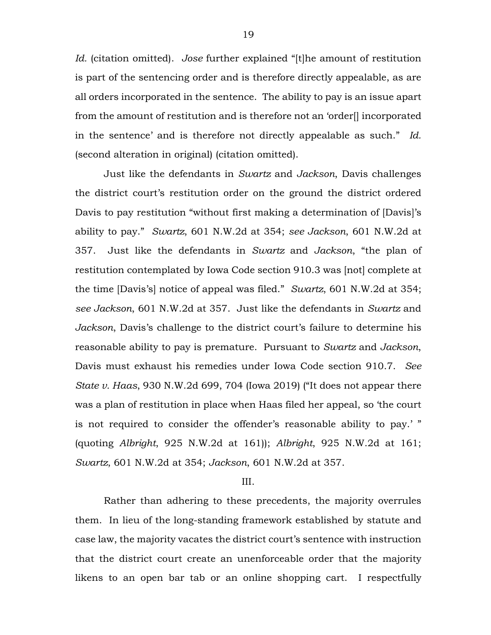*Id.* (citation omitted). *Jose* further explained "[t]he amount of restitution is part of the sentencing order and is therefore directly appealable, as are all orders incorporated in the sentence. The ability to pay is an issue apart from the amount of restitution and is therefore not an 'order[] incorporated in the sentence' and is therefore not directly appealable as such." *Id.* (second alteration in original) (citation omitted).

Just like the defendants in *Swartz* and *Jackson*, Davis challenges the district court's restitution order on the ground the district ordered Davis to pay restitution "without first making a determination of [Davis]'s ability to pay." *Swartz*, 601 N.W.2d at 354; *see Jackson*, 601 N.W.2d at 357. Just like the defendants in *Swartz* and *Jackson*, "the plan of restitution contemplated by Iowa Code section 910.3 was [not] complete at the time [Davis's] notice of appeal was filed." *Swartz*, 601 N.W.2d at 354; *see Jackson*, 601 N.W.2d at 357. Just like the defendants in *Swartz* and *Jackson*, Davis's challenge to the district court's failure to determine his reasonable ability to pay is premature. Pursuant to *Swartz* and *Jackson*, Davis must exhaust his remedies under Iowa Code section 910.7. *See State v. Haas*, 930 N.W.2d 699, 704 (Iowa 2019) ("It does not appear there was a plan of restitution in place when Haas filed her appeal, so 'the court is not required to consider the offender's reasonable ability to pay.' " (quoting *Albright*, 925 N.W.2d at 161)); *Albright*, 925 N.W.2d at 161; *Swartz*, 601 N.W.2d at 354; *Jackson*, 601 N.W.2d at 357.

#### III.

Rather than adhering to these precedents, the majority overrules them. In lieu of the long-standing framework established by statute and case law, the majority vacates the district court's sentence with instruction that the district court create an unenforceable order that the majority likens to an open bar tab or an online shopping cart. I respectfully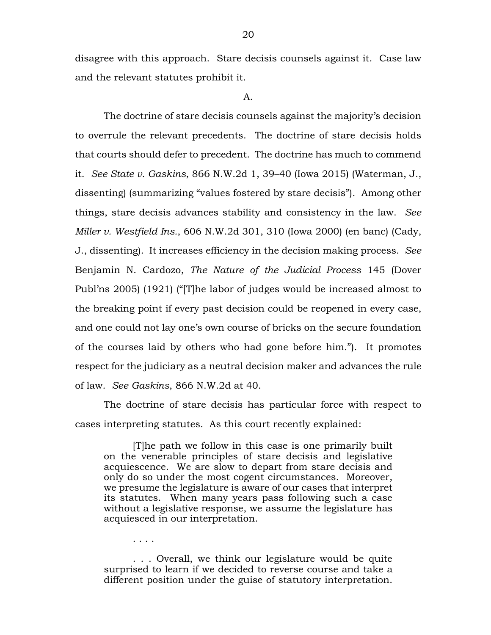disagree with this approach. Stare decisis counsels against it. Case law and the relevant statutes prohibit it.

A.

The doctrine of stare decisis counsels against the majority's decision to overrule the relevant precedents. The doctrine of stare decisis holds that courts should defer to precedent. The doctrine has much to commend it. *See State v. Gaskins*, 866 N.W.2d 1, 39–40 (Iowa 2015) (Waterman, J., dissenting) (summarizing "values fostered by stare decisis"). Among other things, stare decisis advances stability and consistency in the law. *See Miller v. Westfield Ins.*, 606 N.W.2d 301, 310 (Iowa 2000) (en banc) (Cady, J., dissenting). It increases efficiency in the decision making process. *See* Benjamin N. Cardozo, *The Nature of the Judicial Process* 145 (Dover Publ'ns 2005) (1921) ("[T]he labor of judges would be increased almost to the breaking point if every past decision could be reopened in every case, and one could not lay one's own course of bricks on the secure foundation of the courses laid by others who had gone before him."). It promotes respect for the judiciary as a neutral decision maker and advances the rule of law. *See Gaskins*, 866 N.W.2d at 40.

The doctrine of stare decisis has particular force with respect to cases interpreting statutes. As this court recently explained:

[T]he path we follow in this case is one primarily built on the venerable principles of stare decisis and legislative acquiescence. We are slow to depart from stare decisis and only do so under the most cogent circumstances. Moreover, we presume the legislature is aware of our cases that interpret its statutes. When many years pass following such a case without a legislative response, we assume the legislature has acquiesced in our interpretation.

. . . Overall, we think our legislature would be quite surprised to learn if we decided to reverse course and take a different position under the guise of statutory interpretation.

. . . .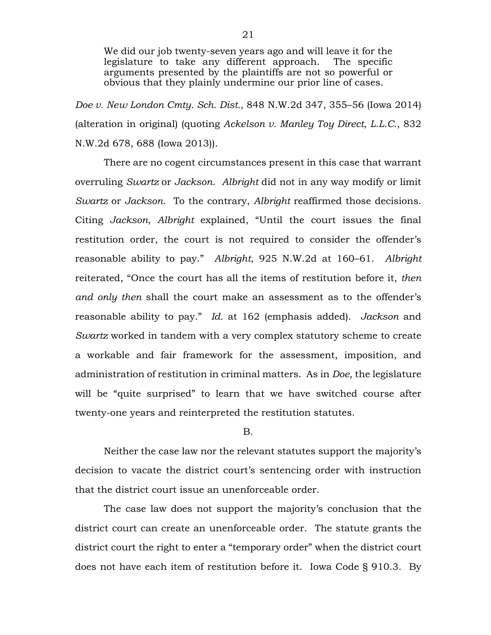We did our job twenty-seven years ago and will leave it for the legislature to take any different approach. The specific arguments presented by the plaintiffs are not so powerful or obvious that they plainly undermine our prior line of cases.

*Doe v. New London Cmty. Sch. Dist.*, 848 N.W.2d 347, 355–56 (Iowa 2014) (alteration in original) (quoting *Ackelson v. Manley Toy Direct, L.L.C.*, 832 N.W.2d 678, 688 (Iowa 2013)).

There are no cogent circumstances present in this case that warrant overruling *Swartz* or *Jackson*. *Albright* did not in any way modify or limit *Swartz* or *Jackson*. To the contrary, *Albright* reaffirmed those decisions. Citing *Jackson*, *Albright* explained, "Until the court issues the final restitution order, the court is not required to consider the offender's reasonable ability to pay." *Albright*, 925 N.W.2d at 160–61. *Albright* reiterated, "Once the court has all the items of restitution before it, *then and only then* shall the court make an assessment as to the offender's reasonable ability to pay." *Id.* at 162 (emphasis added). *Jackson* and *Swartz* worked in tandem with a very complex statutory scheme to create a workable and fair framework for the assessment, imposition, and administration of restitution in criminal matters. As in *Doe*, the legislature will be "quite surprised" to learn that we have switched course after twenty-one years and reinterpreted the restitution statutes.

B.

Neither the case law nor the relevant statutes support the majority's decision to vacate the district court's sentencing order with instruction that the district court issue an unenforceable order.

The case law does not support the majority's conclusion that the district court can create an unenforceable order. The statute grants the district court the right to enter a "temporary order" when the district court does not have each item of restitution before it. Iowa Code § 910.3. By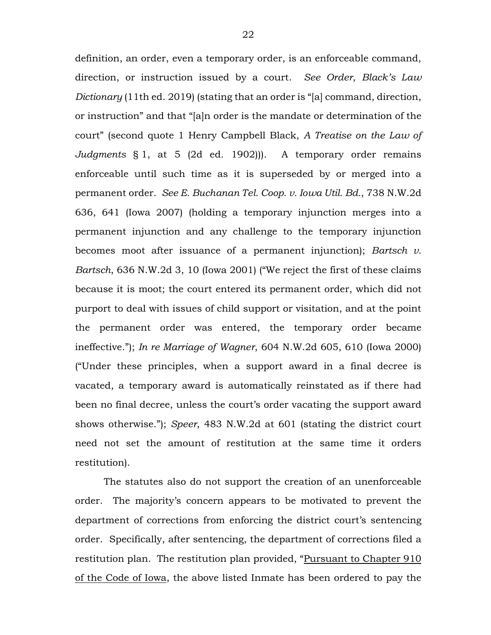definition, an order, even a temporary order, is an enforceable command, direction, or instruction issued by a court. *See Order*, *Black's Law Dictionary* (11th ed. 2019) (stating that an order is "[a] command, direction, or instruction" and that "[a]n order is the mandate or determination of the court" (second quote 1 Henry Campbell Black, *A Treatise on the Law of Judgments* § 1, at 5 (2d ed. 1902))). A temporary order remains enforceable until such time as it is superseded by or merged into a permanent order. *See E. Buchanan Tel. Coop. v. Iowa Util. Bd.*, 738 N.W.2d 636, 641 (Iowa 2007) (holding a temporary injunction merges into a permanent injunction and any challenge to the temporary injunction becomes moot after issuance of a permanent injunction); *Bartsch v. Bartsch*, 636 N.W.2d 3, 10 (Iowa 2001) ("We reject the first of these claims because it is moot; the court entered its permanent order, which did not purport to deal with issues of child support or visitation, and at the point the permanent order was entered, the temporary order became ineffective."); *In re Marriage of Wagner*, 604 N.W.2d 605, 610 (Iowa 2000) ("Under these principles, when a support award in a final decree is vacated, a temporary award is automatically reinstated as if there had been no final decree, unless the court's order vacating the support award shows otherwise."); *Speer*, 483 N.W.2d at 601 (stating the district court need not set the amount of restitution at the same time it orders restitution).

The statutes also do not support the creation of an unenforceable order. The majority's concern appears to be motivated to prevent the department of corrections from enforcing the district court's sentencing order. Specifically, after sentencing, the department of corrections filed a restitution plan. The restitution plan provided, "Pursuant to Chapter 910 of the Code of Iowa, the above listed Inmate has been ordered to pay the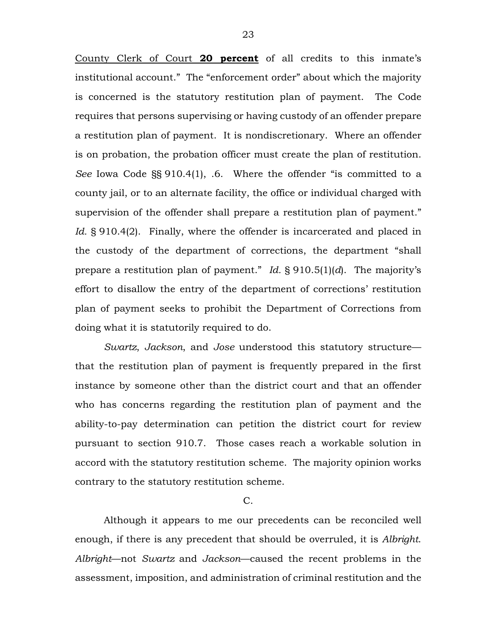County Clerk of Court **20 percent** of all credits to this inmate's institutional account." The "enforcement order" about which the majority is concerned is the statutory restitution plan of payment. The Code requires that persons supervising or having custody of an offender prepare a restitution plan of payment. It is nondiscretionary. Where an offender is on probation, the probation officer must create the plan of restitution. *See* Iowa Code §§ 910.4(1), .6. Where the offender "is committed to a county jail, or to an alternate facility, the office or individual charged with supervision of the offender shall prepare a restitution plan of payment." *Id.* § 910.4(2). Finally, where the offender is incarcerated and placed in the custody of the department of corrections, the department "shall prepare a restitution plan of payment." *Id.* § 910.5(1)(*d*). The majority's effort to disallow the entry of the department of corrections' restitution plan of payment seeks to prohibit the Department of Corrections from doing what it is statutorily required to do.

*Swartz*, *Jackson*, and *Jose* understood this statutory structure that the restitution plan of payment is frequently prepared in the first instance by someone other than the district court and that an offender who has concerns regarding the restitution plan of payment and the ability-to-pay determination can petition the district court for review pursuant to section 910.7. Those cases reach a workable solution in accord with the statutory restitution scheme. The majority opinion works contrary to the statutory restitution scheme.

 $C_{\cdot}$ 

Although it appears to me our precedents can be reconciled well enough, if there is any precedent that should be overruled, it is *Albright*. *Albright*—not *Swartz* and *Jackson*—caused the recent problems in the assessment, imposition, and administration of criminal restitution and the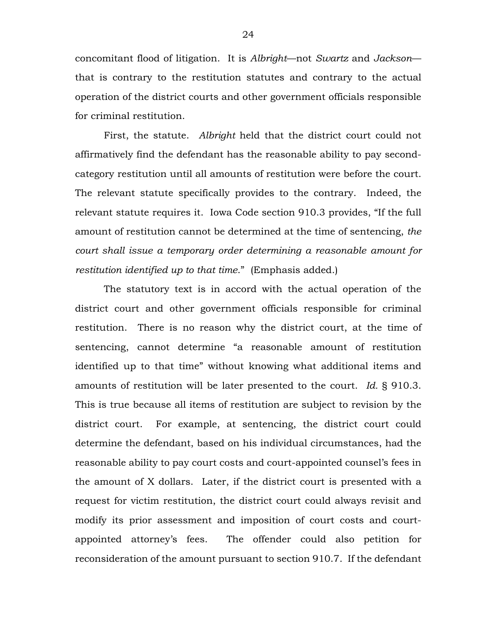concomitant flood of litigation. It is *Albright*—not *Swartz* and *Jackson* that is contrary to the restitution statutes and contrary to the actual operation of the district courts and other government officials responsible for criminal restitution.

First, the statute. *Albright* held that the district court could not affirmatively find the defendant has the reasonable ability to pay secondcategory restitution until all amounts of restitution were before the court. The relevant statute specifically provides to the contrary. Indeed, the relevant statute requires it. Iowa Code section 910.3 provides, "If the full amount of restitution cannot be determined at the time of sentencing, *the court shall issue a temporary order determining a reasonable amount for restitution identified up to that time*." (Emphasis added.)

The statutory text is in accord with the actual operation of the district court and other government officials responsible for criminal restitution. There is no reason why the district court, at the time of sentencing, cannot determine "a reasonable amount of restitution identified up to that time" without knowing what additional items and amounts of restitution will be later presented to the court. *Id.* § 910.3. This is true because all items of restitution are subject to revision by the district court. For example, at sentencing, the district court could determine the defendant, based on his individual circumstances, had the reasonable ability to pay court costs and court-appointed counsel's fees in the amount of X dollars. Later, if the district court is presented with a request for victim restitution, the district court could always revisit and modify its prior assessment and imposition of court costs and courtappointed attorney's fees. The offender could also petition for reconsideration of the amount pursuant to section 910.7. If the defendant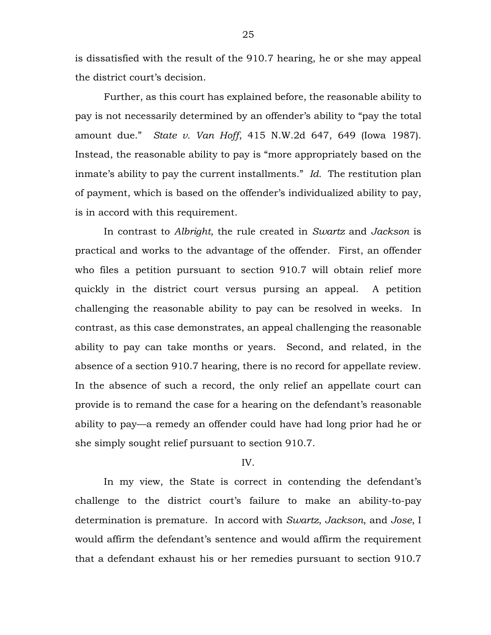is dissatisfied with the result of the 910.7 hearing, he or she may appeal the district court's decision.

Further, as this court has explained before, the reasonable ability to pay is not necessarily determined by an offender's ability to "pay the total amount due." *State v. Van Hoff*, 415 N.W.2d 647, 649 (Iowa 1987). Instead, the reasonable ability to pay is "more appropriately based on the inmate's ability to pay the current installments." *Id.* The restitution plan of payment, which is based on the offender's individualized ability to pay, is in accord with this requirement.

In contrast to *Albright*, the rule created in *Swartz* and *Jackson* is practical and works to the advantage of the offender. First, an offender who files a petition pursuant to section 910.7 will obtain relief more quickly in the district court versus pursing an appeal. A petition challenging the reasonable ability to pay can be resolved in weeks. In contrast, as this case demonstrates, an appeal challenging the reasonable ability to pay can take months or years. Second, and related, in the absence of a section 910.7 hearing, there is no record for appellate review. In the absence of such a record, the only relief an appellate court can provide is to remand the case for a hearing on the defendant's reasonable ability to pay—a remedy an offender could have had long prior had he or she simply sought relief pursuant to section 910.7.

#### IV.

In my view, the State is correct in contending the defendant's challenge to the district court's failure to make an ability-to-pay determination is premature. In accord with *Swartz*, *Jackson*, and *Jose*, I would affirm the defendant's sentence and would affirm the requirement that a defendant exhaust his or her remedies pursuant to section 910.7